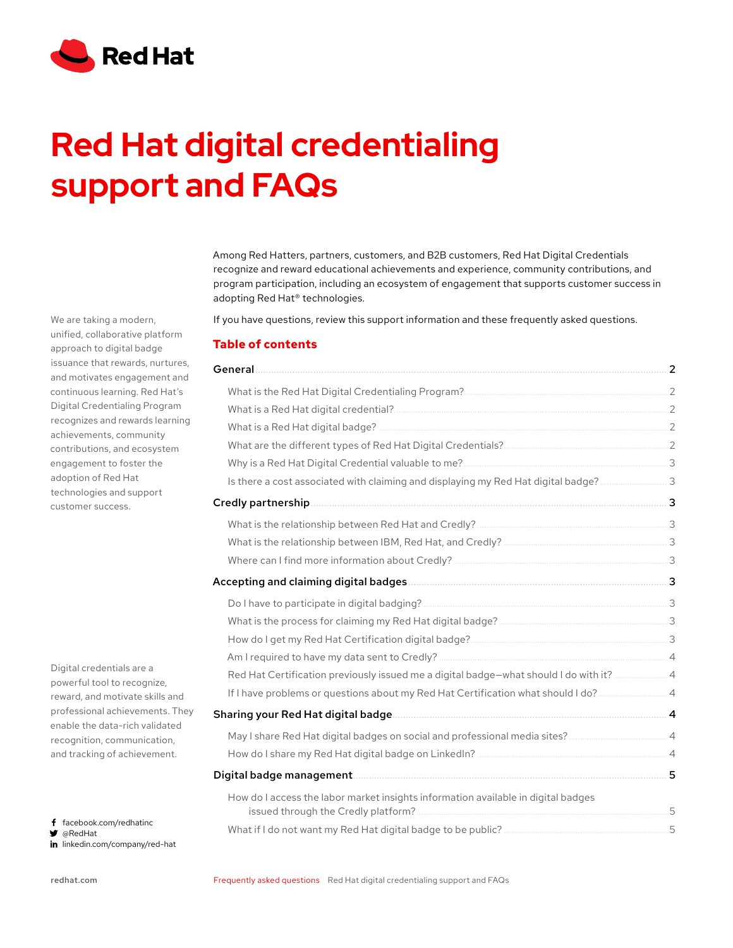

# **Support and FAQs Red Hat digital credentialing**

Among Red Hatters, partners, customers, and B2B customers, Red Hat Digital Credentials recognize and reward educational achievements and experience, community contributions, and program participation, including an ecosystem of engagement that supports customer success in adopting Red Hat® technologies.

If you have questions, review this support information and these frequently asked questions.

## **Table of contents**

| General                                                                                 |    |
|-----------------------------------------------------------------------------------------|----|
|                                                                                         |    |
|                                                                                         |    |
|                                                                                         |    |
|                                                                                         |    |
|                                                                                         |    |
| Is there a cost associated with claiming and displaying my Red Hat digital badge?3      |    |
|                                                                                         |    |
|                                                                                         |    |
|                                                                                         |    |
|                                                                                         |    |
|                                                                                         |    |
|                                                                                         |    |
|                                                                                         |    |
|                                                                                         |    |
|                                                                                         |    |
| Red Hat Certification previously issued me a digital badge-what should I do with it?  4 |    |
| If I have problems or questions about my Red Hat Certification what should I do? 4      |    |
|                                                                                         |    |
|                                                                                         |    |
|                                                                                         |    |
|                                                                                         |    |
| How do I access the labor market insights information available in digital badges       | .5 |
|                                                                                         |    |

We are taking a modern, unified, collaborative platform approach to digital badge issuance that rewards, nurtures, and motivates engagement and continuous learning. Red Hat's Digital Credentialing Program recognizes and rewards learning achievements, community contributions, and ecosystem engagement to foster the adoption of Red Hat technologies and support customer success.

Digital credentials are a powerful tool to recognize, reward, and motivate skills and professional achievements. They enable the data-rich validated recognition, communication, and tracking of achievement.

f facebook.com/redhatinc @RedHat

in linkedin.com/company/red-hat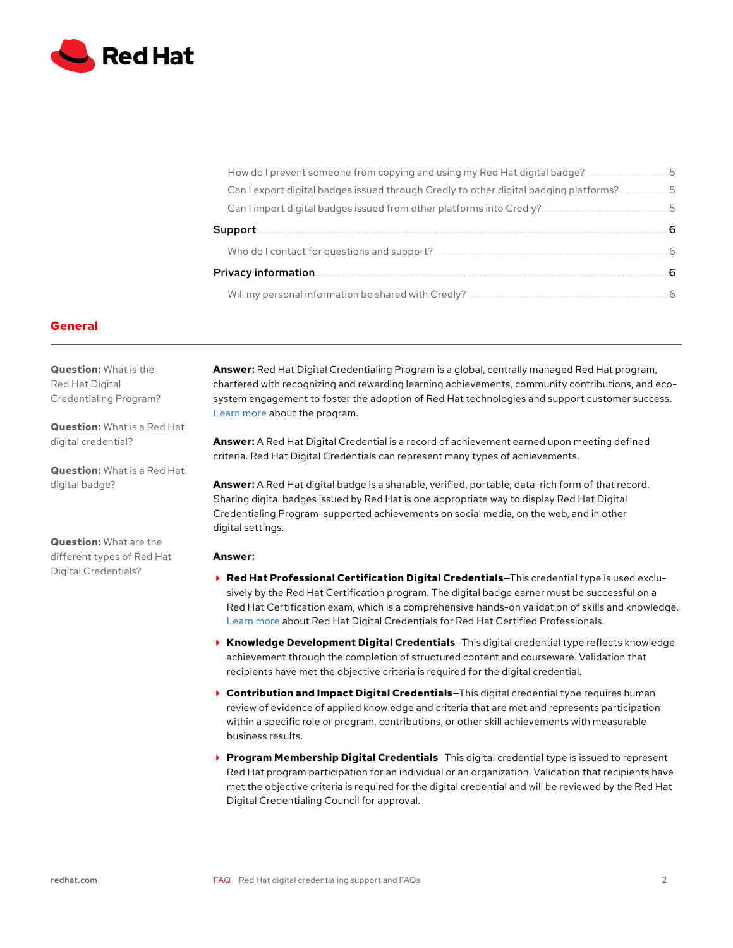<span id="page-1-0"></span>

|         | How do I prevent someone from copying and using my Red Hat digital badge? 5             |   |
|---------|-----------------------------------------------------------------------------------------|---|
|         | Can I export digital badges issued through Credly to other digital badging platforms? 5 |   |
|         |                                                                                         |   |
| Support |                                                                                         | 6 |
|         |                                                                                         |   |
|         | <b>Privacy information.</b>                                                             |   |
|         |                                                                                         |   |

#### **General**

**Question:** What is the Red Hat Digital Credentialing Program?

**Question:** What is a Red Hat digital credential?

**Question:** What is a Red Hat digital badge?

**Question:** What are the different types of Red Hat Digital Credentials?

**Answer:** Red Hat Digital Credentialing Program is a global, centrally managed Red Hat program, chartered with recognizing and rewarding learning achievements, community contributions, and ecosystem engagement to foster the adoption of Red Hat technologies and support customer success. [Learn more](https://www.redhat.com/en/about/digital-credential-program) about the program.

**Answer:** A Red Hat Digital Credential is a record of achievement earned upon meeting defined criteria. Red Hat Digital Credentials can represent many types of achievements.

**Answer:** A Red Hat digital badge is a sharable, verified, portable, data-rich form of that record. Sharing digital badges issued by Red Hat is one appropriate way to display Red Hat Digital Credentialing Program-supported achievements on social media, on the web, and in other digital settings.

#### **Answer:**

- **Red Hat Professional Certification Digital Credentials**—This credential type is used exclusively by the Red Hat Certification program. The digital badge earner must be successful on a Red Hat Certification exam, which is a comprehensive hands-on validation of skills and knowledge. [Learn more](https://www.redhat.com/en/blog/digital-credentials-red-hat-certified-professionals) about Red Hat Digital Credentials for Red Hat Certified Professionals.
- **Knowledge Development Digital Credentials**—This digital credential type reflects knowledge achievement through the completion of structured content and courseware. Validation that recipients have met the objective criteria is required for the digital credential.
- **Contribution and Impact Digital Credentials**—This digital credential type requires human review of evidence of applied knowledge and criteria that are met and represents participation within a specific role or program, contributions, or other skill achievements with measurable business results.
- **Program Membership Digital Credentials**—This digital credential type is issued to represent Red Hat program participation for an individual or an organization. Validation that recipients have met the objective criteria is required for the digital credential and will be reviewed by the Red Hat Digital Credentialing Council for approval.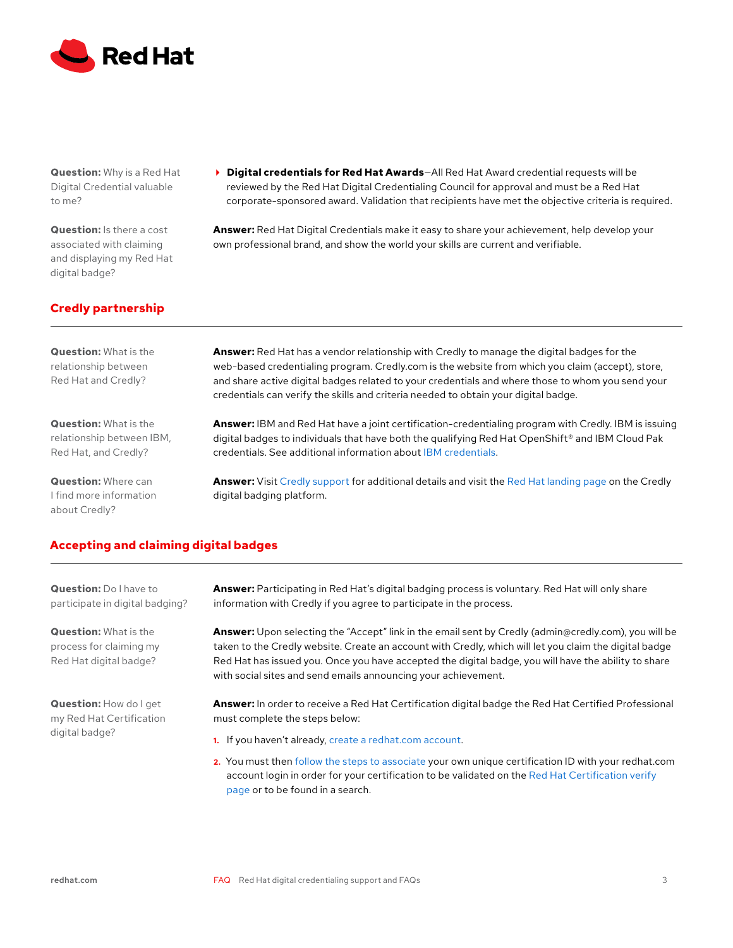<span id="page-2-0"></span>

**Question:** Why is a Red Hat Digital Credential valuable to me?

**Question:** Is there a cost associated with claiming and displaying my Red Hat digital badge?

 **Digital credentials for Red Hat Awards**—All Red Hat Award credential requests will be reviewed by the Red Hat Digital Credentialing Council for approval and must be a Red Hat corporate-sponsored award. Validation that recipients have met the objective criteria is required.

**Answer:** Red Hat Digital Credentials make it easy to share your achievement, help develop your own professional brand, and show the world your skills are current and verifiable.

# **Credly partnership**

**Question:** What is the relationship between Red Hat and Credly?

**Question:** What is the relationship between IBM, Red Hat, and Credly?

**Question:** Where can I find more information about Credly?

**Answer:** Red Hat has a vendor relationship with Credly to manage the digital badges for the web-based credentialing program. Credly.com is the website from which you claim (accept), store, and share active digital badges related to your credentials and where those to whom you send your credentials can verify the skills and criteria needed to obtain your digital badge.

**Answer:** IBM and Red Hat have a joint certification-credentialing program with Credly. IBM is issuing digital badges to individuals that have both the qualifying Red Hat OpenShift® and IBM Cloud Pak credentials. See additional information about [IBM credentials](https://www.ibm.com/training/credentials).

**Answer:** Visit [Credly support](https://support.credly.com/hc/en-us) for additional details and visit the [Red Hat landing page](https://www.credly.com/organizations/red-hat-inc/badges) on the Credly digital badging platform.

# **Accepting and claiming digital badges**

**Question:** Do I have to participate in digital badging?

**Question:** What is the process for claiming my Red Hat digital badge?

**Question:** How do I get my Red Hat Certification digital badge?

**Answer:** Participating in Red Hat's digital badging process is voluntary. Red Hat will only share information with Credly if you agree to participate in the process.

**Answer:** Upon selecting the "Accept" link in the email sent by Credly (admin@credly.com), you will be taken to the Credly website. Create an account with Credly, which will let you claim the digital badge Red Hat has issued you. Once you have accepted the digital badge, you will have the ability to share with social sites and send emails announcing your achievement.

**Answer:** In order to receive a Red Hat Certification digital badge the Red Hat Certified Professional must complete the steps below:

- **1.** If you haven't already, [create a redhat.com account](https://www.redhat.com/wapps/ugc/register.html?_flowId=register-flow&_flowExecutionKey=e1s1).
- **2.** You must then [follow the steps to associate](https://www.redhat.com/en/services/certification/verify/info) your own unique certification ID with your redhat.com account login in order for your certification to be validated on the [Red Hat Certification verify](https://rhtapps.redhat.com/verify/)  [page](https://rhtapps.redhat.com/verify/) or to be found in a search.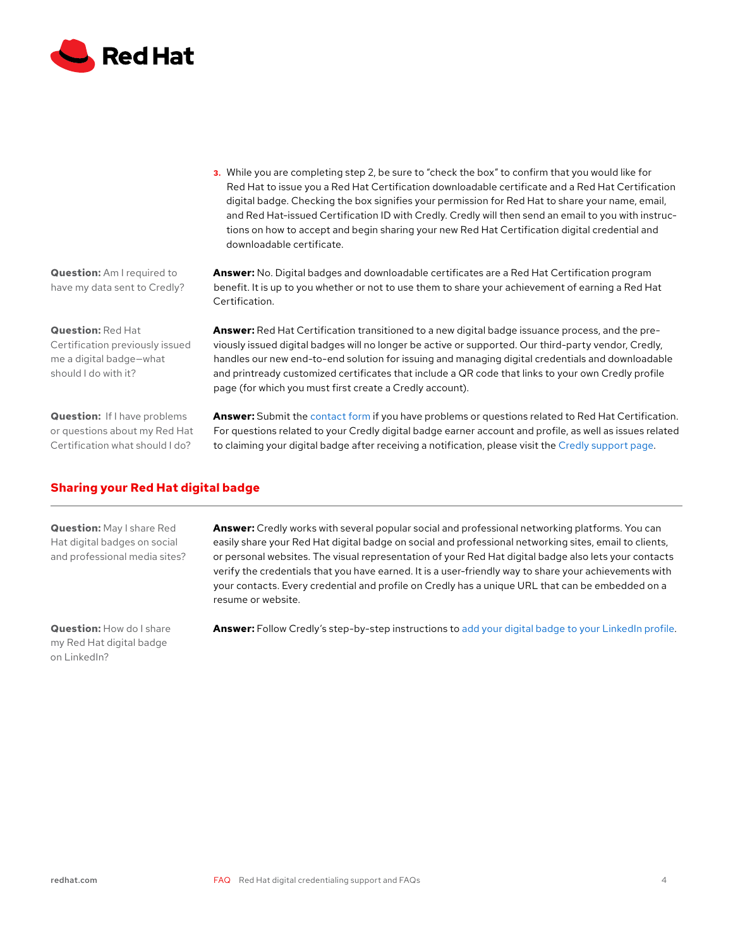<span id="page-3-0"></span>

**3.** While you are completing step 2, be sure to "check the box" to confirm that you would like for Red Hat to issue you a Red Hat Certification downloadable certificate and a Red Hat Certification digital badge. Checking the box signifies your permission for Red Hat to share your name, email, and Red Hat-issued Certification ID with Credly. Credly will then send an email to you with instructions on how to accept and begin sharing your new Red Hat Certification digital credential and downloadable certificate.

**Answer:** No. Digital badges and downloadable certificates are a Red Hat Certification program benefit. It is up to you whether or not to use them to share your achievement of earning a Red Hat Certification.

**Answer:** Red Hat Certification transitioned to a new digital badge issuance process, and the previously issued digital badges will no longer be active or supported. Our third-party vendor, Credly, handles our new end-to-end solution for issuing and managing digital credentials and downloadable and printready customized certificates that include a QR code that links to your own Credly profile page (for which you must first create a Credly account).

**Answer:** Submit the [contact form](https://rhtapps.redhat.com/comments) if you have problems or questions related to Red Hat Certification. For questions related to your Credly digital badge earner account and profile, as well as issues related to claiming your digital badge after receiving a notification, please visit the [Credly support page](https://support.credly.com/hc/en-us).

**Question:** Am I required to have my data sent to Credly?

**Question:** Red Hat

Certification previously issued me a digital badge—what should I do with it?

**Question:** If I have problems or questions about my Red Hat Certification what should I do?

**Sharing your Red Hat digital badge**

**Question:** May I share Red Hat digital badges on social and professional media sites? **Answer:** Credly works with several popular social and professional networking platforms. You can easily share your Red Hat digital badge on social and professional networking sites, email to clients, or personal websites. The visual representation of your Red Hat digital badge also lets your contacts verify the credentials that you have earned. It is a user-friendly way to share your achievements with your contacts. Every credential and profile on Credly has a unique URL that can be embedded on a resume or website.

**Question:** How do I share my Red Hat digital badge on LinkedIn?

Answer: Follow Credly's step-by-step instructions to [add your digital badge to your LinkedIn profile.](https://support.credly.com/hc/en-us)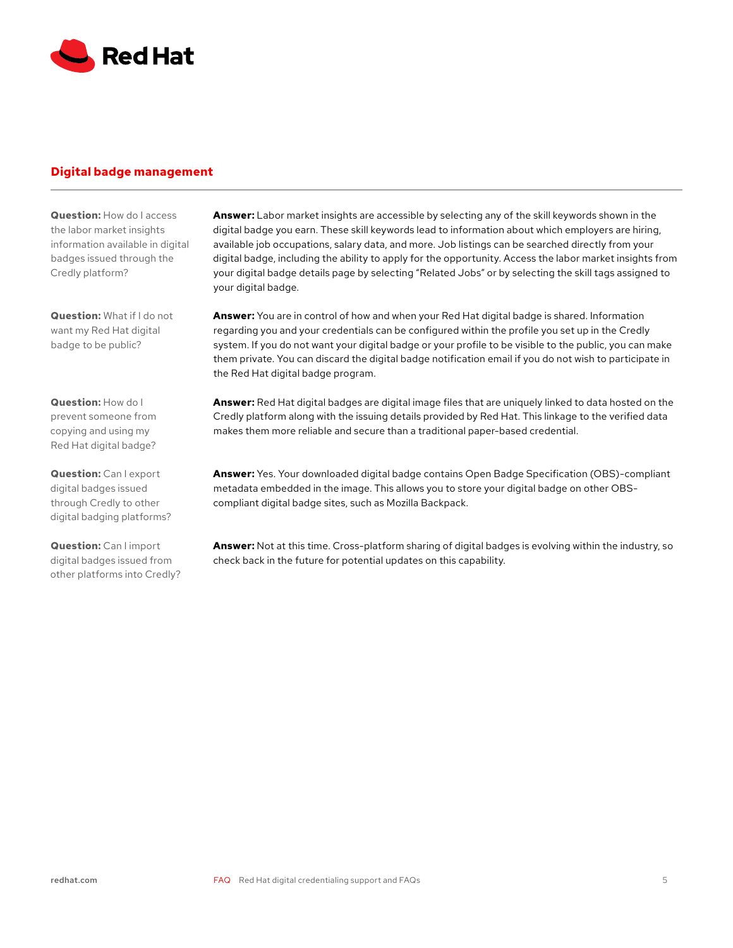<span id="page-4-0"></span>

# **Digital badge management**

**Question:** How do I access the labor market insights information available in digital badges issued through the Credly platform?

**Question:** What if I do not want my Red Hat digital badge to be public?

**Question:** How do I prevent someone from copying and using my Red Hat digital badge?

**Question:** Can I export digital badges issued through Credly to other digital badging platforms?

**Question:** Can I import digital badges issued from other platforms into Credly? **Answer:** Labor market insights are accessible by selecting any of the skill keywords shown in the digital badge you earn. These skill keywords lead to information about which employers are hiring, available job occupations, salary data, and more. Job listings can be searched directly from your digital badge, including the ability to apply for the opportunity. Access the labor market insights from your digital badge details page by selecting "Related Jobs" or by selecting the skill tags assigned to your digital badge.

**Answer:** You are in control of how and when your Red Hat digital badge is shared. Information regarding you and your credentials can be configured within the profile you set up in the Credly system. If you do not want your digital badge or your profile to be visible to the public, you can make them private. You can discard the digital badge notification email if you do not wish to participate in the Red Hat digital badge program.

**Answer:** Red Hat digital badges are digital image files that are uniquely linked to data hosted on the Credly platform along with the issuing details provided by Red Hat. This linkage to the verified data makes them more reliable and secure than a traditional paper-based credential.

**Answer:** Yes. Your downloaded digital badge contains Open Badge Specification (OBS)-compliant metadata embedded in the image. This allows you to store your digital badge on other OBScompliant digital badge sites, such as Mozilla Backpack.

**Answer:** Not at this time. Cross-platform sharing of digital badges is evolving within the industry, so check back in the future for potential updates on this capability.